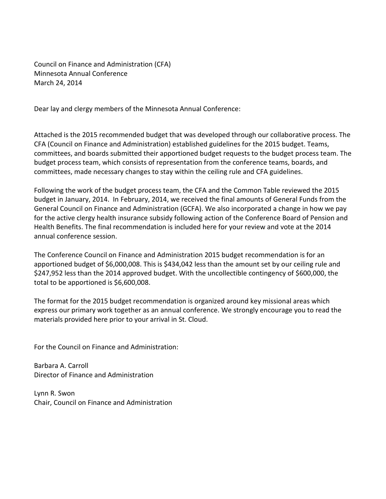Council on Finance and Administration (CFA) Minnesota Annual Conference March 24, 2014

Dear lay and clergy members of the Minnesota Annual Conference:

Attached is the 2015 recommended budget that was developed through our collaborative process. The CFA (Council on Finance and Administration) established guidelines for the 2015 budget. Teams, committees, and boards submitted their apportioned budget requests to the budget process team. The budget process team, which consists of representation from the conference teams, boards, and committees, made necessary changes to stay within the ceiling rule and CFA guidelines.

Following the work of the budget process team, the CFA and the Common Table reviewed the 2015 budget in January, 2014. In February, 2014, we received the final amounts of General Funds from the General Council on Finance and Administration (GCFA). We also incorporated a change in how we pay for the active clergy health insurance subsidy following action of the Conference Board of Pension and Health Benefits. The final recommendation is included here for your review and vote at the 2014 annual conference session.

The Conference Council on Finance and Administration 2015 budget recommendation is for an apportioned budget of \$6,000,008. This is \$434,042 less than the amount set by our ceiling rule and \$247,952 less than the 2014 approved budget. With the uncollectible contingency of \$600,000, the total to be apportioned is \$6,600,008.

The format for the 2015 budget recommendation is organized around key missional areas which express our primary work together as an annual conference. We strongly encourage you to read the materials provided here prior to your arrival in St. Cloud.

For the Council on Finance and Administration:

Barbara A. Carroll Director of Finance and Administration

Lynn R. Swon Chair, Council on Finance and Administration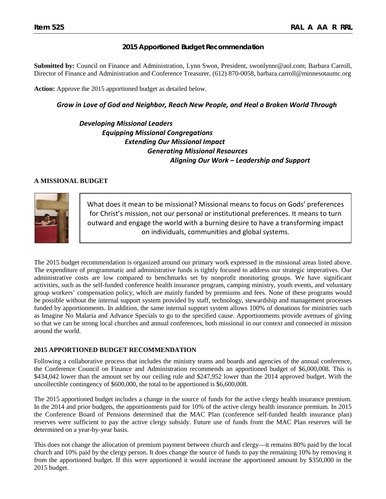### **2015 Apportioned Budget Recommendation**

**Submitted by:** Council on Finance and Administration, Lynn Swon, President, swonlynnr@aol.com; Barbara Carroll, Director of Finance and Administration and Conference Treasurer, (612) 870-0058, [barbara.carroll@minnesotaumc.org](mailto:barbara.carroll@minnesotaumc.org)

**Action:** Approve the 2015 apportioned budget as detailed below.

*Grow in Love of God and Neighbor, Reach New People, and Heal a Broken World Through*

*Developing Missional Leaders Equipping Missional Congregations Extending Our Missional Impact Generating Missional Resources Aligning Our Work – Leadership and Support*

#### **A MISSIONAL BUDGET**



What does it mean to be missional? Missional means to focus on Gods' preferences for Christ's mission, not our personal or institutional preferences. It means to turn outward and engage the world with a burning desire to have a transforming impact on individuals, communities and global systems.

The 2015 budget recommendation is organized around our primary work expressed in the missional areas listed above. The expenditure of programmatic and administrative funds is tightly focused to address our strategic imperatives. Our administrative costs are low compared to benchmarks set by nonprofit monitoring groups. We have significant activities, such as the self-funded conference health insurance program, camping ministry, youth events, and voluntary group workers' compensation policy, which are mainly funded by premiums and fees. None of these programs would be possible without the internal support system provided by staff, technology, stewardship and management processes funded by apportionments. In addition, the same internal support system allows 100% of donations for ministries such as Imagine No Malaria and Advance Specials to go to the specified cause. Apportionments provide avenues of giving so that we can be strong local churches and annual conferences, both missional in our context and connected in mission around the world.

#### **2015 APPORTIONED BUDGET RECOMMENDATION**

Following a collaborative process that includes the ministry teams and boards and agencies of the annual conference, the Conference Council on Finance and Administration recommends an apportioned budget of \$6,000,008. This is \$434,042 lower than the amount set by our ceiling rule and \$247,952 lower than the 2014 approved budget. With the uncollectible contingency of \$600,000, the total to be apportioned is \$6,600,008.

The 2015 apportioned budget includes a change in the source of funds for the active clergy health insurance premium. In the 2014 and prior budgets, the apportionments paid for 10% of the active clergy health insurance premium. In 2015 the Conference Board of Pensions determined that the MAC Plan (conference self-funded health insurance plan) reserves were sufficient to pay the active clergy subsidy. Future use of funds from the MAC Plan reserves will be determined on a year-by-year basis.

This does not change the allocation of premium payment between church and clergy—it remains 80% paid by the local church and 10% paid by the clergy person. It does change the source of funds to pay the remaining 10% by removing it from the apportioned budget. If this were apportioned it would increase the apportioned amount by \$350,000 in the 2015 budget.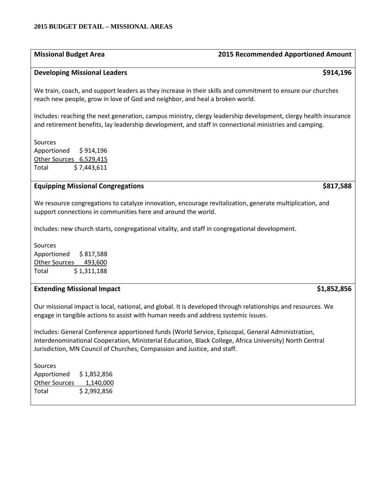#### **2015 BUDGET DETAIL – MISSIONAL AREAS**

# **Missional Budget Area 2015 Recommended Apportioned Amount**

#### **Developing Missional Leaders \$914,196**

We train, coach, and support leaders as they increase in their skills and commitment to ensure our churches reach new people, grow in love of God and neighbor, and heal a broken world.

Includes: reaching the next generation, campus ministry, clergy leadership development, clergy health insurance and retirement benefits, lay leadership development, and staff in connectional ministries and camping.

Sources Apportioned \$ 914,196 Other Sources 6,529,415 Total \$ 7,443,611

### **Equipping Missional Congregations \$817,588**

We resource congregations to catalyze innovation, encourage revitalization, generate multiplication, and support connections in communities here and around the world.

Includes: new church starts, congregational vitality, and staff in congregational development.

Sources Apportioned \$ 817,588 Other Sources 493,600 Total  $$1,311,188$ 

### **Extending Missional Impact \$1,852,856**

Our missional impact is local, national, and global. It is developed through relationships and resources. We engage in tangible actions to assist with human needs and address systemic issues.

Includes: General Conference apportioned funds (World Service, Episcopal, General Administration, Interdenominational Cooperation, Ministerial Education, Black College, Africa University) North Central Jurisdiction, MN Council of Churches, Compassion and Justice, and staff.

Sources Apportioned \$ 1,852,856 Other Sources 1,140,000 Total \$2,992,856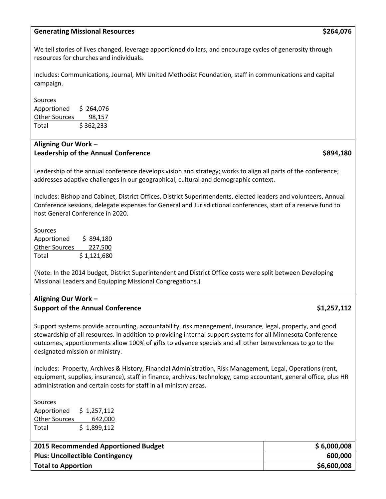### **Generating Missional Resources \$264,076**

We tell stories of lives changed, leverage apportioned dollars, and encourage cycles of generosity through resources for churches and individuals.

Includes: Communications, Journal, MN United Methodist Foundation, staff in communications and capital campaign.

Sources Apportioned \$ 264,076 Other Sources 98,157 Total \$ 362,233

## **Aligning Our Work** – **Leadership of the Annual Conference <b>by a set of the Annual Conference 6894,180**

Leadership of the annual conference develops vision and strategy; works to align all parts of the conference; addresses adaptive challenges in our geographical, cultural and demographic context.

Includes: Bishop and Cabinet, District Offices, District Superintendents, elected leaders and volunteers, Annual Conference sessions, delegate expenses for General and Jurisdictional conferences, start of a reserve fund to host General Conference in 2020.

Sources Apportioned \$894,180 Other Sources 227,500 Total  $$1,121,680$ 

(Note: In the 2014 budget, District Superintendent and District Office costs were split between Developing Missional Leaders and Equipping Missional Congregations.)

# **Aligning Our Work – Support of the Annual Conference <b>\$1,257,112**

Support systems provide accounting, accountability, risk management, insurance, legal, property, and good stewardship of all resources. In addition to providing internal support systems for all Minnesota Conference outcomes, apportionments allow 100% of gifts to advance specials and all other benevolences to go to the designated mission or ministry.

Includes: Property, Archives & History, Financial Administration, Risk Management, Legal, Operations (rent, equipment, supplies, insurance), staff in finance, archives, technology, camp accountant, general office, plus HR administration and certain costs for staff in all ministry areas.

Sources Apportioned \$ 1,257,112 Other Sources 642,000 Total  $\frac{1}{2}$  \$ 1,899,112

| 2015 Recommended Apportioned Budget    | \$6,000,008 |
|----------------------------------------|-------------|
| <b>Plus: Uncollectible Contingency</b> | 600,000     |
| <b>Total to Apportion</b>              | \$6,600,008 |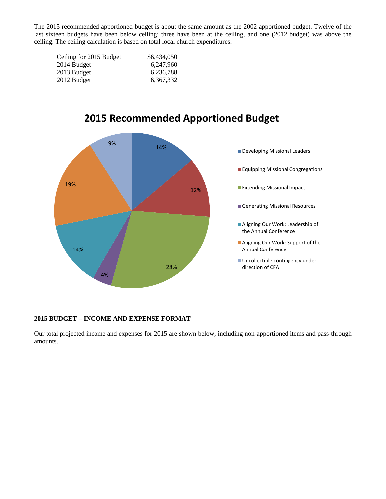The 2015 recommended apportioned budget is about the same amount as the 2002 apportioned budget. Twelve of the last sixteen budgets have been below ceiling; three have been at the ceiling, and one (2012 budget) was above the ceiling. The ceiling calculation is based on total local church expenditures.

| \$6,434,050 |
|-------------|
| 6,247,960   |
| 6,236,788   |
| 6.367.332   |
|             |



# **2015 BUDGET – INCOME AND EXPENSE FORMAT**

Our total projected income and expenses for 2015 are shown below, including non-apportioned items and pass-through amounts.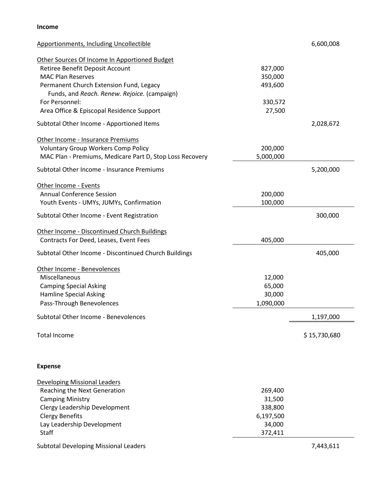#### **Income**

| <b>Apportionments, Including Uncollectible</b>           |           | 6,600,008    |
|----------------------------------------------------------|-----------|--------------|
| Other Sources Of Income In Apportioned Budget            |           |              |
| Retiree Benefit Deposit Account                          | 827,000   |              |
| <b>MAC Plan Reserves</b>                                 | 350,000   |              |
| Permanent Church Extension Fund, Legacy                  | 493,600   |              |
| Funds, and Reach. Renew. Rejoice. (campaign)             |           |              |
| For Personnel:                                           | 330,572   |              |
| Area Office & Episcopal Residence Support                | 27,500    |              |
| Subtotal Other Income - Apportioned Items                |           | 2,028,672    |
| Other Income - Insurance Premiums                        |           |              |
| <b>Voluntary Group Workers Comp Policy</b>               | 200,000   |              |
| MAC Plan - Premiums, Medicare Part D, Stop Loss Recovery | 5,000,000 |              |
|                                                          |           |              |
| Subtotal Other Income - Insurance Premiums               |           | 5,200,000    |
| Other Income - Events                                    |           |              |
| <b>Annual Conference Session</b>                         | 200,000   |              |
| Youth Events - UMYs, JUMYs, Confirmation                 | 100,000   |              |
| Subtotal Other Income - Event Registration               |           | 300,000      |
| Other Income - Discontinued Church Buildings             |           |              |
| Contracts For Deed, Leases, Event Fees                   | 405,000   |              |
| Subtotal Other Income - Discontinued Church Buildings    |           | 405,000      |
|                                                          |           |              |
| Other Income - Benevolences                              |           |              |
| Miscellaneous                                            | 12,000    |              |
| <b>Camping Special Asking</b>                            | 65,000    |              |
| Hamline Special Asking                                   | 30,000    |              |
| Pass-Through Benevolences                                | 1,090,000 |              |
| Subtotal Other Income - Benevolences                     |           | 1,197,000    |
| <b>Total Income</b>                                      |           | \$15,730,680 |
| <b>Expense</b>                                           |           |              |
| <b>Developing Missional Leaders</b>                      |           |              |
| Reaching the Next Generation                             | 269,400   |              |
| <b>Camping Ministry</b>                                  | 31,500    |              |
| Clergy Leadership Development                            | 338,800   |              |
| <b>Clergy Benefits</b>                                   | 6,197,500 |              |
| Lay Leadership Development                               | 34,000    |              |
| <b>Staff</b>                                             | 372,411   |              |
|                                                          |           |              |
| Subtotal Developing Missional Leaders                    |           | 7,443,611    |